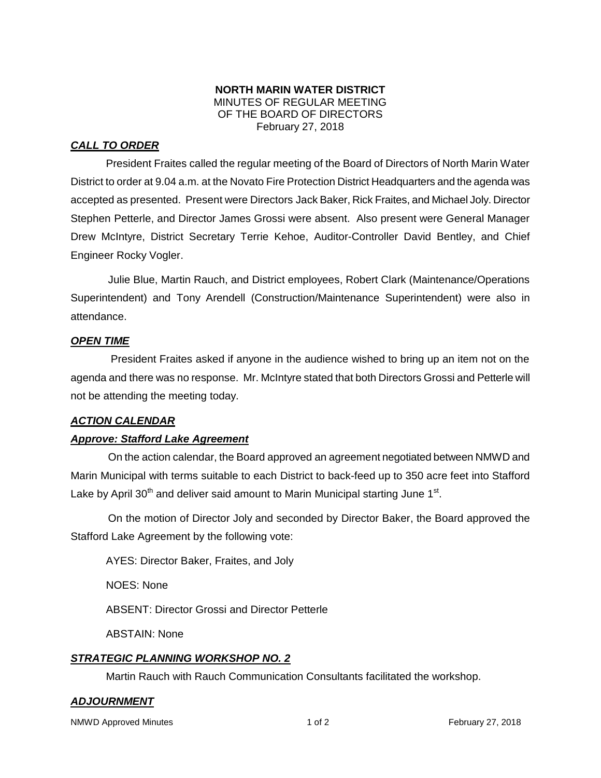### **NORTH MARIN WATER DISTRICT** MINUTES OF REGULAR MEETING OF THE BOARD OF DIRECTORS February 27, 2018

# *CALL TO ORDER*

President Fraites called the regular meeting of the Board of Directors of North Marin Water District to order at 9.04 a.m. at the Novato Fire Protection District Headquarters and the agenda was accepted as presented. Present were Directors Jack Baker, Rick Fraites, and Michael Joly. Director Stephen Petterle, and Director James Grossi were absent. Also present were General Manager Drew McIntyre, District Secretary Terrie Kehoe, Auditor-Controller David Bentley, and Chief Engineer Rocky Vogler.

Julie Blue, Martin Rauch, and District employees, Robert Clark (Maintenance/Operations Superintendent) and Tony Arendell (Construction/Maintenance Superintendent) were also in attendance.

### *OPEN TIME*

President Fraites asked if anyone in the audience wished to bring up an item not on the agenda and there was no response. Mr. McIntyre stated that both Directors Grossi and Petterle will not be attending the meeting today.

### *ACTION CALENDAR*

### *Approve: Stafford Lake Agreement*

On the action calendar, the Board approved an agreement negotiated between NMWD and Marin Municipal with terms suitable to each District to back-feed up to 350 acre feet into Stafford Lake by April 30<sup>th</sup> and deliver said amount to Marin Municipal starting June 1<sup>st</sup>.

On the motion of Director Joly and seconded by Director Baker, the Board approved the Stafford Lake Agreement by the following vote:

AYES: Director Baker, Fraites, and Joly

NOES: None

ABSENT: Director Grossi and Director Petterle

ABSTAIN: None

## *STRATEGIC PLANNING WORKSHOP NO. 2*

Martin Rauch with Rauch Communication Consultants facilitated the workshop.

## *ADJOURNMENT*

NMWD Approved Minutes **No. 2018 1 of 2** The Section 1 of 2 Tebruary 27, 2018